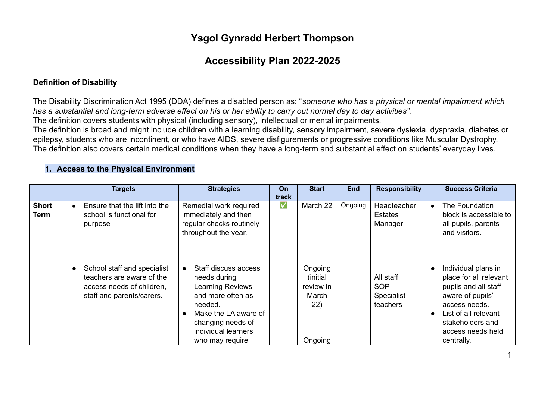# **Ysgol Gynradd Herbert Thompson**

# **Accessibility Plan 2022-2025**

### **Definition of Disability**

The Disability Discrimination Act 1995 (DDA) defines a disabled person as: "*someone who has a physical or mental impairment which has a substantial and long-term adverse effect on his or her ability to carry out normal day to day activities".*

The definition covers students with physical (including sensory), intellectual or mental impairments.

The definition is broad and might include children with a learning disability, sensory impairment, severe dyslexia, dyspraxia, diabetes or epilepsy, students who are incontinent, or who have AIDS, severe disfigurements or progressive conditions like Muscular Dystrophy. The definition also covers certain medical conditions when they have a long-term and substantial effect on students' everyday lives.

#### **Targets Strategies On track Start End Responsibility Success Criteria Short Term Ensure that the lift into the** school is functional for purpose ● School staff and specialist teachers are aware of the access needs of children, staff and parents/carers. Remedial work required immediately and then regular checks routinely throughout the year. ● Staff discuss access needs during Learning Reviews and more often as needed. ● Make the LA aware of changing needs of individual learners who may require ✅ March 22 **Ongoing** (initial review in March 22) Ongoing Ongoing | Headteacher **Estates** Manager All staff **SOP** Specialist teachers ● The Foundation block is accessible to all pupils, parents and visitors. ● Individual plans in place for all relevant pupils and all staff aware of pupils' access needs. ● List of all relevant stakeholders and access needs held centrally.

### **1. Access to the Physical Environment**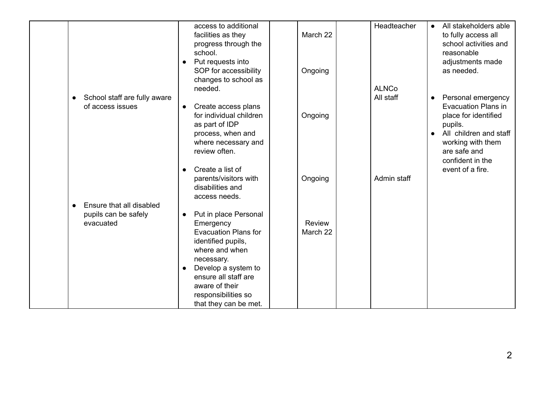|                                                               | access to additional<br>facilities as they<br>progress through the<br>school.<br>Put requests into<br>$\bullet$<br>SOP for accessibility<br>changes to school as<br>needed.                                                                                        | March 22<br>Ongoing | Headteacher<br><b>ALNCo</b> | All stakeholders able<br>$\bullet$<br>to fully access all<br>school activities and<br>reasonable<br>adjustments made<br>as needed.                                                                                   |
|---------------------------------------------------------------|--------------------------------------------------------------------------------------------------------------------------------------------------------------------------------------------------------------------------------------------------------------------|---------------------|-----------------------------|----------------------------------------------------------------------------------------------------------------------------------------------------------------------------------------------------------------------|
| School staff are fully aware<br>$\bullet$<br>of access issues | Create access plans<br>$\bullet$<br>for individual children<br>as part of IDP<br>process, when and<br>where necessary and<br>review often.<br>Create a list of<br>$\bullet$                                                                                        | Ongoing             | All staff                   | Personal emergency<br>$\bullet$<br><b>Evacuation Plans in</b><br>place for identified<br>pupils.<br>All children and staff<br>$\bullet$<br>working with them<br>are safe and<br>confident in the<br>event of a fire. |
| Ensure that all disabled                                      | parents/visitors with<br>disabilities and<br>access needs.                                                                                                                                                                                                         | Ongoing             | Admin staff                 |                                                                                                                                                                                                                      |
| pupils can be safely<br>evacuated                             | Put in place Personal<br>$\bullet$<br>Emergency<br><b>Evacuation Plans for</b><br>identified pupils,<br>where and when<br>necessary.<br>Develop a system to<br>$\bullet$<br>ensure all staff are<br>aware of their<br>responsibilities so<br>that they can be met. | Review<br>March 22  |                             |                                                                                                                                                                                                                      |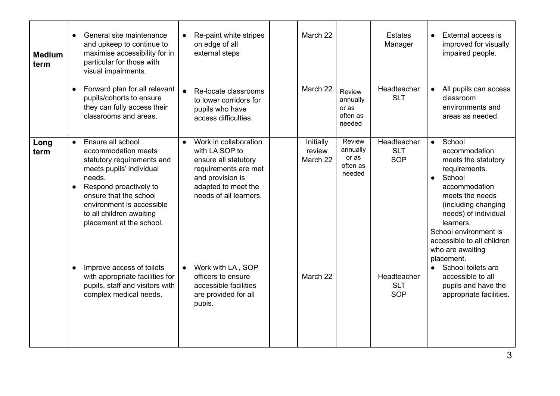| <b>Medium</b><br>term | General site maintenance<br>and upkeep to continue to<br>maximise accessibility for in<br>particular for those with<br>visual impairments.<br>Forward plan for all relevant<br>pupils/cohorts to ensure<br>they can fully access their<br>classrooms and areas.                                                                                                                                 | Re-paint white stripes<br>on edge of all<br>external steps<br>Re-locate classrooms<br>$\bullet$<br>to lower corridors for<br>pupils who have<br>access difficulties.                                                                                                                         | March 22<br>March 22<br>Review<br>annually<br>or as<br>often as<br>needed                        | Estates<br>Manager<br>Headteacher<br><b>SLT</b>                                    | External access is<br>$\bullet$<br>improved for visually<br>impaired people.<br>All pupils can access<br>$\bullet$<br>classroom<br>environments and<br>areas as needed.                                                                                                                                                                                                                   |
|-----------------------|-------------------------------------------------------------------------------------------------------------------------------------------------------------------------------------------------------------------------------------------------------------------------------------------------------------------------------------------------------------------------------------------------|----------------------------------------------------------------------------------------------------------------------------------------------------------------------------------------------------------------------------------------------------------------------------------------------|--------------------------------------------------------------------------------------------------|------------------------------------------------------------------------------------|-------------------------------------------------------------------------------------------------------------------------------------------------------------------------------------------------------------------------------------------------------------------------------------------------------------------------------------------------------------------------------------------|
| Long<br>term          | Ensure all school<br>$\bullet$<br>accommodation meets<br>statutory requirements and<br>meets pupils' individual<br>needs.<br>Respond proactively to<br>ensure that the school<br>environment is accessible<br>to all children awaiting<br>placement at the school.<br>Improve access of toilets<br>with appropriate facilities for<br>pupils, staff and visitors with<br>complex medical needs. | Work in collaboration<br>$\bullet$<br>with LA SOP to<br>ensure all statutory<br>requirements are met<br>and provision is<br>adapted to meet the<br>needs of all learners.<br>Work with LA, SOP<br>$\bullet$<br>officers to ensure<br>accessible facilities<br>are provided for all<br>pupis. | Review<br>Initially<br>annually<br>review<br>or as<br>March 22<br>often as<br>needed<br>March 22 | Headteacher<br><b>SLT</b><br><b>SOP</b><br>Headteacher<br><b>SLT</b><br><b>SOP</b> | School<br>$\bullet$<br>accommodation<br>meets the statutory<br>requirements.<br>School<br>$\bullet$<br>accommodation<br>meets the needs<br>(including changing<br>needs) of individual<br>learners.<br>School environment is<br>accessible to all children<br>who are awaiting<br>placement.<br>School toilets are<br>accessible to all<br>pupils and have the<br>appropriate facilities. |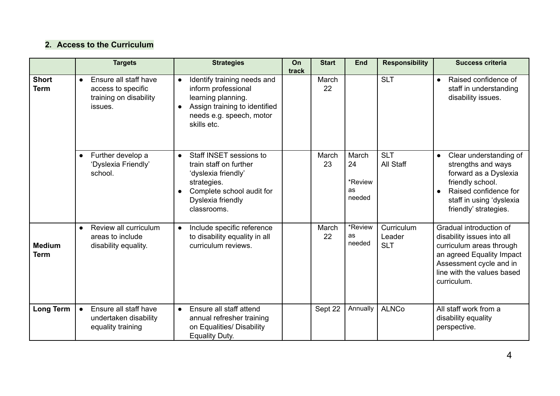### **2. Access to the Curriculum**

|                              | <b>Targets</b>                                                                                | <b>Strategies</b>                                                                                                                                                                  | On<br>track | <b>Start</b> | <b>End</b>                                    | <b>Responsibility</b>              | <b>Success criteria</b>                                                                                                                                                                |
|------------------------------|-----------------------------------------------------------------------------------------------|------------------------------------------------------------------------------------------------------------------------------------------------------------------------------------|-------------|--------------|-----------------------------------------------|------------------------------------|----------------------------------------------------------------------------------------------------------------------------------------------------------------------------------------|
| <b>Short</b><br><b>Term</b>  | Ensure all staff have<br>$\bullet$<br>access to specific<br>training on disability<br>issues. | Identify training needs and<br>$\bullet$<br>inform professional<br>learning planning.<br>Assign training to identified<br>$\bullet$<br>needs e.g. speech, motor<br>skills etc.     |             | March<br>22  |                                               | <b>SLT</b>                         | Raised confidence of<br>$\bullet$<br>staff in understanding<br>disability issues.                                                                                                      |
|                              | Further develop a<br>$\bullet$<br>'Dyslexia Friendly'<br>school.                              | Staff INSET sessions to<br>$\bullet$<br>train staff on further<br>'dyslexia friendly'<br>strategies.<br>Complete school audit for<br>$\bullet$<br>Dyslexia friendly<br>classrooms. |             | March<br>23  | March<br>24<br>*Review<br><b>as</b><br>needed | <b>SLT</b><br>All Staff            | Clear understanding of<br>$\bullet$<br>strengths and ways<br>forward as a Dyslexia<br>friendly school.<br>Raised confidence for<br>staff in using 'dyslexia<br>friendly' strategies.   |
| <b>Medium</b><br><b>Term</b> | Review all curriculum<br>areas to include<br>disability equality.                             | Include specific reference<br>$\bullet$<br>to disability equality in all<br>curriculum reviews.                                                                                    |             | March<br>22  | *Review<br>as<br>needed                       | Curriculum<br>Leader<br><b>SLT</b> | Gradual introduction of<br>disability issues into all<br>curriculum areas through<br>an agreed Equality Impact<br>Assessment cycle and in<br>line with the values based<br>curriculum. |
| <b>Long Term</b>             | Ensure all staff have<br>undertaken disability<br>equality training                           | Ensure all staff attend<br>$\bullet$<br>annual refresher training<br>on Equalities/ Disability<br>Equality Duty.                                                                   |             | Sept 22      | Annually                                      | <b>ALNCo</b>                       | All staff work from a<br>disability equality<br>perspective.                                                                                                                           |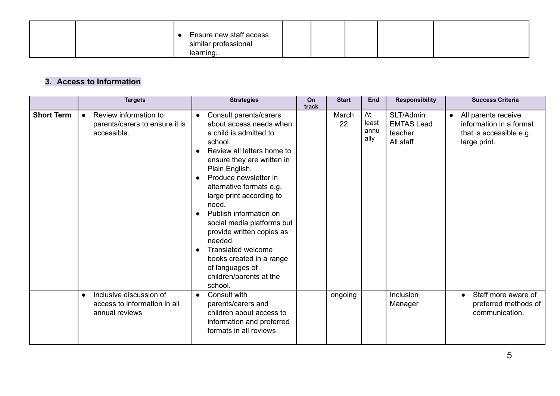|  | Ensure new staff access<br>similar professional |  |  |  |
|--|-------------------------------------------------|--|--|--|
|  | learning.                                       |  |  |  |

## **3. Access to Information**

|                   | <b>Targets</b>                                                                         | <b>Strategies</b>                                                                                                                                                                                                                                                                                                                                                                                                                                                                                                                    | On<br>track | <b>Start</b> | End                         | <b>Responsibility</b>                                  | <b>Success Criteria</b>                                                                                |
|-------------------|----------------------------------------------------------------------------------------|--------------------------------------------------------------------------------------------------------------------------------------------------------------------------------------------------------------------------------------------------------------------------------------------------------------------------------------------------------------------------------------------------------------------------------------------------------------------------------------------------------------------------------------|-------------|--------------|-----------------------------|--------------------------------------------------------|--------------------------------------------------------------------------------------------------------|
| <b>Short Term</b> | Review information to<br>parents/carers to ensure it is<br>accessible.                 | Consult parents/carers<br>$\bullet$<br>about access needs when<br>a child is admitted to<br>school.<br>Review all letters home to<br>$\bullet$<br>ensure they are written in<br>Plain English.<br>Produce newsletter in<br>$\bullet$<br>alternative formats e.g.<br>large print according to<br>need.<br>Publish information on<br>social media platforms but<br>provide written copies as<br>needed.<br><b>Translated welcome</b><br>$\bullet$<br>books created in a range<br>of languages of<br>children/parents at the<br>school. |             | March<br>22  | At<br>least<br>annu<br>ally | SLT/Admin<br><b>EMTAS Lead</b><br>teacher<br>All staff | All parents receive<br>$\bullet$<br>information in a format<br>that is accessible e.g.<br>large print. |
|                   | Inclusive discussion of<br>$\bullet$<br>access to information in all<br>annual reviews | Consult with<br>$\bullet$<br>parents/carers and<br>children about access to<br>information and preferred<br>formats in all reviews                                                                                                                                                                                                                                                                                                                                                                                                   |             | ongoing      |                             | Inclusion<br>Manager                                   | Staff more aware of<br>preferred methods of<br>communication.                                          |